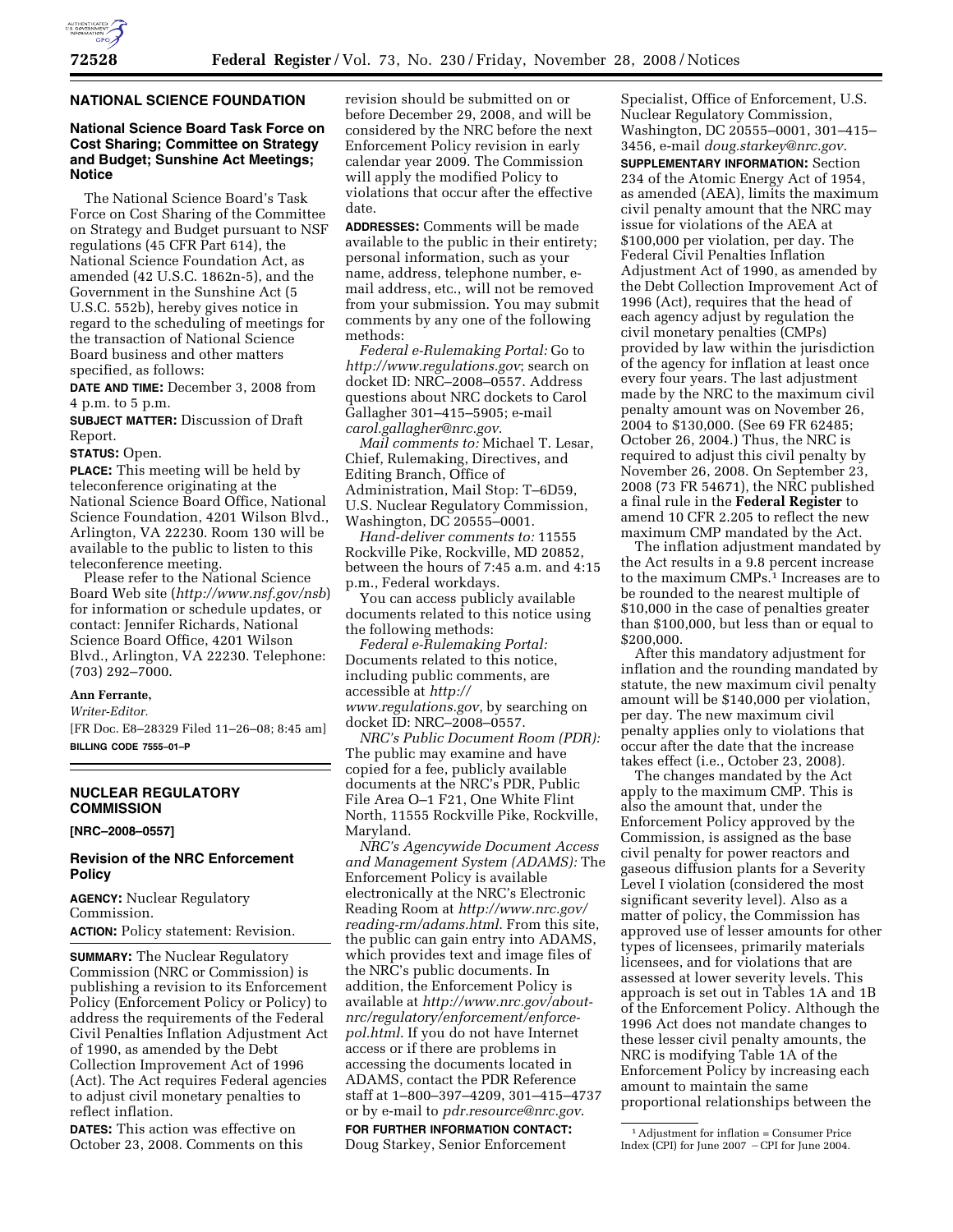

# **NATIONAL SCIENCE FOUNDATION**

# **National Science Board Task Force on Cost Sharing; Committee on Strategy and Budget; Sunshine Act Meetings; Notice**

The National Science Board's Task Force on Cost Sharing of the Committee on Strategy and Budget pursuant to NSF regulations (45 CFR Part 614), the National Science Foundation Act, as amended (42 U.S.C. 1862n-5), and the Government in the Sunshine Act (5 U.S.C. 552b), hereby gives notice in regard to the scheduling of meetings for the transaction of National Science Board business and other matters specified, as follows:

**DATE AND TIME:** December 3, 2008 from 4 p.m. to 5 p.m.

**SUBJECT MATTER:** Discussion of Draft Report.

**STATUS:** Open.

**PLACE:** This meeting will be held by teleconference originating at the National Science Board Office, National Science Foundation, 4201 Wilson Blvd., Arlington, VA 22230. Room 130 will be available to the public to listen to this teleconference meeting.

Please refer to the National Science Board Web site (*http://www.nsf.gov/nsb*) for information or schedule updates, or contact: Jennifer Richards, National Science Board Office, 4201 Wilson Blvd., Arlington, VA 22230. Telephone: (703) 292–7000.

# **Ann Ferrante,**

*Writer-Editor.* 

[FR Doc. E8–28329 Filed 11–26–08; 8:45 am] **BILLING CODE 7555–01–P** 

# **NUCLEAR REGULATORY COMMISSION**

## **[NRC–2008–0557]**

## **Revision of the NRC Enforcement Policy**

**AGENCY:** Nuclear Regulatory Commission. **ACTION:** Policy statement: Revision.

**SUMMARY:** The Nuclear Regulatory Commission (NRC or Commission) is publishing a revision to its Enforcement Policy (Enforcement Policy or Policy) to address the requirements of the Federal Civil Penalties Inflation Adjustment Act of 1990, as amended by the Debt Collection Improvement Act of 1996 (Act). The Act requires Federal agencies to adjust civil monetary penalties to reflect inflation.

**DATES:** This action was effective on October 23, 2008. Comments on this

revision should be submitted on or before December 29, 2008, and will be considered by the NRC before the next Enforcement Policy revision in early calendar year 2009. The Commission will apply the modified Policy to violations that occur after the effective date.

**ADDRESSES:** Comments will be made available to the public in their entirety; personal information, such as your name, address, telephone number, email address, etc., will not be removed from your submission. You may submit comments by any one of the following methods:

*Federal e-Rulemaking Portal:* Go to *http://www.regulations.gov*; search on docket ID: NRC–2008–0557. Address questions about NRC dockets to Carol Gallagher 301–415–5905; e-mail *carol.gallagher@nrc.gov*.

*Mail comments to:* Michael T. Lesar, Chief, Rulemaking, Directives, and Editing Branch, Office of Administration, Mail Stop: T–6D59, U.S. Nuclear Regulatory Commission, Washington, DC 20555–0001.

*Hand-deliver comments to:* 11555 Rockville Pike, Rockville, MD 20852, between the hours of 7:45 a.m. and 4:15 p.m., Federal workdays.

You can access publicly available documents related to this notice using the following methods:

*Federal e-Rulemaking Portal:*  Documents related to this notice, including public comments, are accessible at *http:// www.regulations.gov*, by searching on docket ID: NRC–2008–0557.

*NRC's Public Document Room (PDR):*  The public may examine and have copied for a fee, publicly available documents at the NRC's PDR, Public File Area O–1 F21, One White Flint North, 11555 Rockville Pike, Rockville, Maryland.

*NRC's Agencywide Document Access and Management System (ADAMS):* The Enforcement Policy is available electronically at the NRC's Electronic Reading Room at *http://www.nrc.gov/ reading-rm/adams.html*. From this site, the public can gain entry into ADAMS, which provides text and image files of the NRC's public documents. In addition, the Enforcement Policy is available at *http://www.nrc.gov/aboutnrc/regulatory/enforcement/enforcepol.html*. If you do not have Internet access or if there are problems in accessing the documents located in ADAMS, contact the PDR Reference staff at 1–800–397–4209, 301–415–4737 or by e-mail to *pdr.resource@nrc.gov*.

**FOR FURTHER INFORMATION CONTACT:**  Doug Starkey, Senior Enforcement

Specialist, Office of Enforcement, U.S. Nuclear Regulatory Commission, Washington, DC 20555–0001, 301–415– 3456, e-mail *doug.starkey@nrc.gov*.

**SUPPLEMENTARY INFORMATION:** Section 234 of the Atomic Energy Act of 1954, as amended (AEA), limits the maximum civil penalty amount that the NRC may issue for violations of the AEA at \$100,000 per violation, per day. The Federal Civil Penalties Inflation Adjustment Act of 1990, as amended by the Debt Collection Improvement Act of 1996 (Act), requires that the head of each agency adjust by regulation the civil monetary penalties (CMPs) provided by law within the jurisdiction of the agency for inflation at least once every four years. The last adjustment made by the NRC to the maximum civil penalty amount was on November 26, 2004 to \$130,000. (See 69 FR 62485; October 26, 2004.) Thus, the NRC is required to adjust this civil penalty by November 26, 2008. On September 23, 2008 (73 FR 54671), the NRC published a final rule in the **Federal Register** to amend 10 CFR 2.205 to reflect the new maximum CMP mandated by the Act.

The inflation adjustment mandated by the Act results in a 9.8 percent increase to the maximum CMPs.1 Increases are to be rounded to the nearest multiple of \$10,000 in the case of penalties greater than \$100,000, but less than or equal to \$200,000.

After this mandatory adjustment for inflation and the rounding mandated by statute, the new maximum civil penalty amount will be \$140,000 per violation, per day. The new maximum civil penalty applies only to violations that occur after the date that the increase takes effect (i.e., October 23, 2008).

The changes mandated by the Act apply to the maximum CMP. This is also the amount that, under the Enforcement Policy approved by the Commission, is assigned as the base civil penalty for power reactors and gaseous diffusion plants for a Severity Level I violation (considered the most significant severity level). Also as a matter of policy, the Commission has approved use of lesser amounts for other types of licensees, primarily materials licensees, and for violations that are assessed at lower severity levels. This approach is set out in Tables 1A and 1B of the Enforcement Policy. Although the 1996 Act does not mandate changes to these lesser civil penalty amounts, the NRC is modifying Table 1A of the Enforcement Policy by increasing each amount to maintain the same proportional relationships between the

<sup>1</sup>Adjustment for inflation = Consumer Price Index (CPI) for June 2007  $-$ CPI for June 2004.